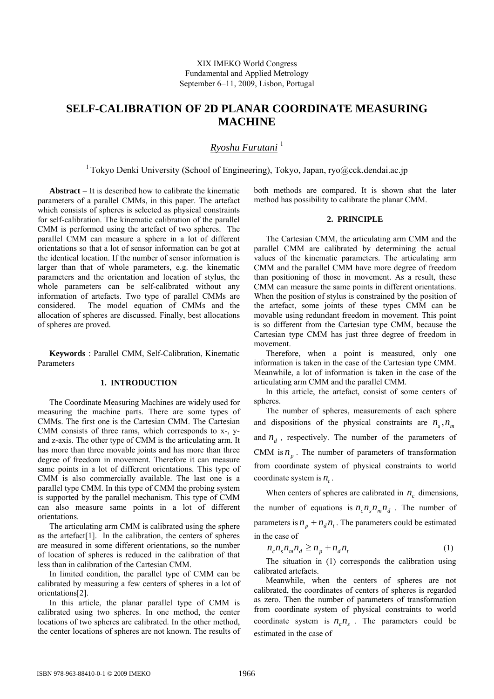# **SELF-CALIBRATION OF 2D PLANAR COORDINATE MEASURING MACHINE**

*Ryoshu Furutani* <sup>1</sup>

<sup>1</sup> Tokyo Denki University (School of Engineering), Tokyo, Japan, ryo@cck.dendai.ac.jp

**Abstract** − It is described how to calibrate the kinematic parameters of a parallel CMMs, in this paper. The artefact which consists of spheres is selected as physical constraints for self-calibration. The kinematic calibration of the parallel CMM is performed using the artefact of two spheres. The parallel CMM can measure a sphere in a lot of different orientations so that a lot of sensor information can be got at the identical location. If the number of sensor information is larger than that of whole parameters, e.g. the kinematic parameters and the orientation and location of stylus, the whole parameters can be self-calibrated without any information of artefacts. Two type of parallel CMMs are considered. The model equation of CMMs and the allocation of spheres are discussed. Finally, best allocations of spheres are proved.

**Keywords** : Parallel CMM, Self-Calibration, Kinematic Parameters

#### **1. INTRODUCTION**

The Coordinate Measuring Machines are widely used for measuring the machine parts. There are some types of CMMs. The first one is the Cartesian CMM. The Cartesian CMM consists of three rams, which corresponds to x-, yand z-axis. The other type of CMM is the articulating arm. It has more than three movable joints and has more than three degree of freedom in movement. Therefore it can measure same points in a lot of different orientations. This type of CMM is also commercially available. The last one is a parallel type CMM. In this type of CMM the probing system is supported by the parallel mechanism. This type of CMM can also measure same points in a lot of different orientations.

The articulating arm CMM is calibrated using the sphere as the artefact[1]. In the calibration, the centers of spheres are measured in some different orientations, so the number of location of spheres is reduced in the calibration of that less than in calibration of the Cartesian CMM.

In limited condition, the parallel type of CMM can be calibrated by measuring a few centers of spheres in a lot of orientations[2].

In this article, the planar parallel type of CMM is calibrated using two spheres. In one method, the center locations of two spheres are calibrated. In the other method, the center locations of spheres are not known. The results of both methods are compared. It is shown shat the later method has possibility to calibrate the planar CMM.

#### **2. PRINCIPLE**

The Cartesian CMM, the articulating arm CMM and the parallel CMM are calibrated by determining the actual values of the kinematic parameters. The articulating arm CMM and the parallel CMM have more degree of freedom than positioning of those in movement. As a result, these CMM can measure the same points in different orientations. When the position of stylus is constrained by the position of the artefact, some joints of these types CMM can be movable using redundant freedom in movement. This point is so different from the Cartesian type CMM, because the Cartesian type CMM has just three degree of freedom in movement.

Therefore, when a point is measured, only one information is taken in the case of the Cartesian type CMM. Meanwhile, a lot of information is taken in the case of the articulating arm CMM and the parallel CMM.

In this article, the artefact, consist of some centers of spheres.

The number of spheres, measurements of each sphere and dispositions of the physical constraints are  $n_{\alpha}$ ,  $n_{\beta}$ and  $n_d$ , respectively. The number of the parameters of CMM is  $n_p$ . The number of parameters of transformation from coordinate system of physical constraints to world coordinate system is  $n<sub>t</sub>$ .

When centers of spheres are calibrated in  $n_c$  dimensions, the number of equations is  $n_c n_s n_m n_d$ . The number of parameters is  $n_p + n_d n_t$ . The parameters could be estimated in the case of

$$
n_c n_s n_m n_d \ge n_p + n_d n_t \tag{1}
$$

 The situation in (1) corresponds the calibration using calibrated artefacts.

Meanwhile, when the centers of spheres are not calibrated, the coordinates of centers of spheres is regarded as zero. Then the number of parameters of transformation from coordinate system of physical constraints to world coordinate system is  $n_c n_s$ . The parameters could be estimated in the case of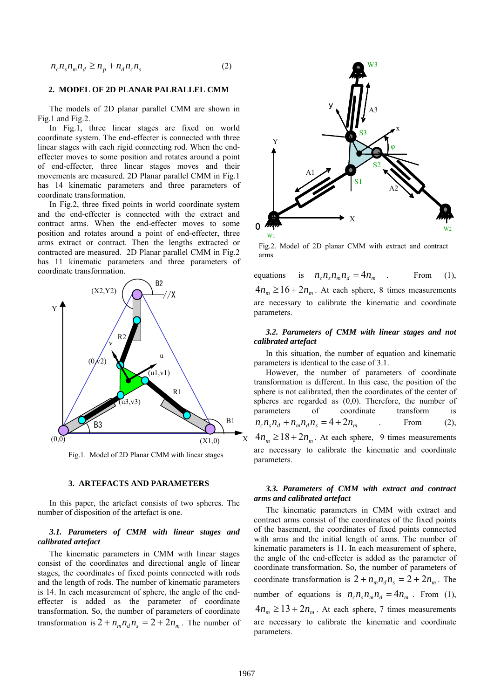$$
n_c n_s n_m n_d \ge n_p + n_d n_c n_s \tag{2}
$$

### **2. MODEL OF 2D PLANAR PALRALLEL CMM**

The models of 2D planar parallel CMM are shown in Fig.1 and Fig.2.

In Fig.1, three linear stages are fixed on world coordinate system. The end-effecter is connected with three linear stages with each rigid connecting rod. When the endeffecter moves to some position and rotates around a point of end-effecter, three linear stages moves and their movements are measured. 2D Planar parallel CMM in Fig.1 has 14 kinematic parameters and three parameters of coordinate transformation.

 In Fig.2, three fixed points in world coordinate system and the end-effecter is connected with the extract and contract arms. When the end-effecter moves to some position and rotates around a point of end-effecter, three arms extract or contract. Then the lengths extracted or contracted are measured. 2D Planar parallel CMM in Fig.2 has 11 kinematic parameters and three parameters of coordinate transformation.



Fig.1. Model of 2D Planar CMM with linear stages

#### **3. ARTEFACTS AND PARAMETERS**

 In this paper, the artefact consists of two spheres. The number of disposition of the artefact is one.

## *3.1. Parameters of CMM with linear stages and calibrated artefact*

The kinematic parameters in CMM with linear stages consist of the coordinates and directional angle of linear stages, the coordinates of fixed points connected with rods and the length of rods. The number of kinematic parameters is 14. In each measurement of sphere, the angle of the endeffecter is added as the parameter of coordinate transformation. So, the number of parameters of coordinate transformation is  $2 + n_m n_a n_s = 2 + 2n_m$ . The number of



Fig.2. Model of 2D planar CMM with extract and contract arms

equations is  $n_c n_s n_m n_d = 4n_m$  . From (1),  $4n_m \ge 16 + 2n_m$ . At each sphere, 8 times measurements are necessary to calibrate the kinematic and coordinate parameters.

# *3.2. Parameters of CMM with linear stages and not calibrated artefact*

In this situation, the number of equation and kinematic parameters is identical to the case of 3.1.

However, the number of parameters of coordinate transformation is different. In this case, the position of the sphere is not calibrated, then the coordinates of the center of spheres are regarded as (0,0). Therefore, the number of parameters of coordinate transform is  $n_c n_s n_d + n_m n_d n_s = 4 + 2n_m$  . From (2),  $4n_m \ge 18 + 2n_m$ . At each sphere, 9 times measurements are necessary to calibrate the kinematic and coordinate

## *3.3. Parameters of CMM with extract and contract arms and calibrated artefact*

The kinematic parameters in CMM with extract and contract arms consist of the coordinates of the fixed points of the basement, the coordinates of fixed points connected with arms and the initial length of arms. The number of kinematic parameters is 11. In each measurement of sphere, the angle of the end-effecter is added as the parameter of coordinate transformation. So, the number of parameters of coordinate transformation is  $2 + n_m n_a n_c = 2 + 2n_m$ . The number of equations is  $n_c n_s n_m n_d = 4n_m$ . From (1),  $4n_m \ge 13 + 2n_m$ . At each sphere, 7 times measurements are necessary to calibrate the kinematic and coordinate parameters.

parameters.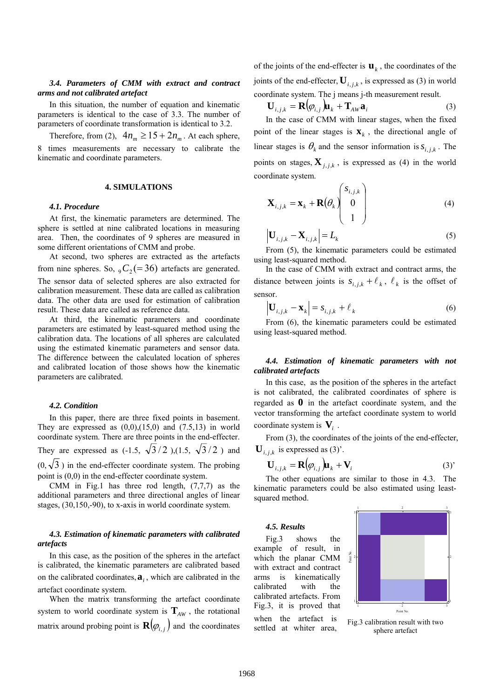## *3.4. Parameters of CMM with extract and contract arms and not calibrated artefact*

In this situation, the number of equation and kinematic parameters is identical to the case of 3.3. The number of parameters of coordinate transformation is identical to 3.2.

Therefore, from (2),  $4n_m \ge 15 + 2n_m$ . At each sphere, 8 times measurements are necessary to calibrate the kinematic and coordinate parameters.

## **4. SIMULATIONS**

#### *4.1. Procedure*

At first, the kinematic parameters are determined. The sphere is settled at nine calibrated locations in measuring area. Then, the coordinates of 9 spheres are measured in some different orientations of CMM and probe.

At second, two spheres are extracted as the artefacts from nine spheres. So,  $_{9}C_{2} (= 36)$  artefacts are generated. The sensor data of selected spheres are also extracted for calibration measurement. These data are called as calibration data. The other data are used for estimation of calibration result. These data are called as reference data.

At third, the kinematic parameters and coordinate parameters are estimated by least-squared method using the calibration data. The locations of all spheres are calculated using the estimated kinematic parameters and sensor data. The difference between the calculated location of spheres and calibrated location of those shows how the kinematic parameters are calibrated.

#### *4.2. Condition*

In this paper, there are three fixed points in basement. They are expressed as  $(0,0),(15,0)$  and  $(7.5,13)$  in world coordinate system. There are three points in the end-effecter. They are expressed as  $(-1.5, \sqrt{3}/2)$ , $(1.5, \sqrt{3}/2)$  and  $(0, \sqrt{3})$  in the end-effecter coordinate system. The probing point is (0,0) in the end-effecter coordinate system.

CMM in Fig.1 has three rod length,  $(7,7,7)$  as the additional parameters and three directional angles of linear stages, (30,150,-90), to x-axis in world coordinate system.

## *4.3. Estimation of kinematic parameters with calibrated artefacts*

In this case, as the position of the spheres in the artefact is calibrated, the kinematic parameters are calibrated based on the calibrated coordinates,**a***<sup>i</sup>* , which are calibrated in the artefact coordinate system.

When the matrix transforming the artefact coordinate system to world coordinate system is  $\mathbf{T}_{AW}$ , the rotational matrix around probing point is  $\mathbf{R}(\varphi_{i,j})$  and the coordinates of the joints of the end-effecter is  $\mathbf{u}_k$ , the coordinates of the joints of the end-effecter,  $U_{i,j,k}$ , is expressed as (3) in world coordinate system. The j means j-th measurement result.

$$
\mathbf{U}_{i,j,k} = \mathbf{R}(\varphi_{i,j})\mathbf{u}_k + \mathbf{T}_{AW}\mathbf{a}_i
$$
 (3)

In the case of CMM with linear stages, when the fixed point of the linear stages is  $\mathbf{x}_k$ , the directional angle of linear stages is  $\theta_k$  and the sensor information is  $s_{i,j,k}$ . The points on stages,  $\mathbf{X}_{i,i,k}$ , is expressed as (4) in the world coordinate system.

$$
\mathbf{X}_{i,j,k} = \mathbf{x}_k + \mathbf{R}(\theta_k) \begin{pmatrix} s_{i,j,k} \\ 0 \\ 1 \end{pmatrix}
$$
 (4)

$$
\left|\mathbf{U}_{i,j,k} - \mathbf{X}_{i,j,k}\right| = L_k
$$
\n(5)

From (5), the kinematic parameters could be estimated using least-squared method.

In the case of CMM with extract and contract arms, the distance between joints is  $s_{i,j,k} + \ell_k$ ,  $\ell_k$  is the offset of sensor.

$$
\left|\mathbf{U}_{i,j,k} - \mathbf{x}_k\right| = s_{i,j,k} + \ell_k
$$
\n(6)

From (6), the kinematic parameters could be estimated using least-squared method.

# *4.4. Estimation of kinematic parameters with not calibrated artefacts*

In this case, as the position of the spheres in the artefact is not calibrated, the calibrated coordinates of sphere is regarded as **0** in the artefact coordinate system, and the vector transforming the artefact coordinate system to world coordinate system is **V***i* .

From  $(3)$ , the coordinates of the joints of the end-effecter,  $\mathbf{U}_{i,j,k}$  is expressed as (3)'.

$$
\mathbf{U}_{i,j,k} = \mathbf{R}(\varphi_{i,j})\mathbf{u}_k + \mathbf{V}_i
$$
 (3)

The other equations are similar to those in 4.3. The kinematic parameters could be also estimated using leastsquared method.

## *4.5. Results*

Fig.3 shows the example of result, in which the planar CMM with extract and contract arms is kinematically calibrated with the calibrated artefacts. From Fig.3, it is proved that when the artefact is settled at whiter area,



Fig.3 calibration result with two sphere artefact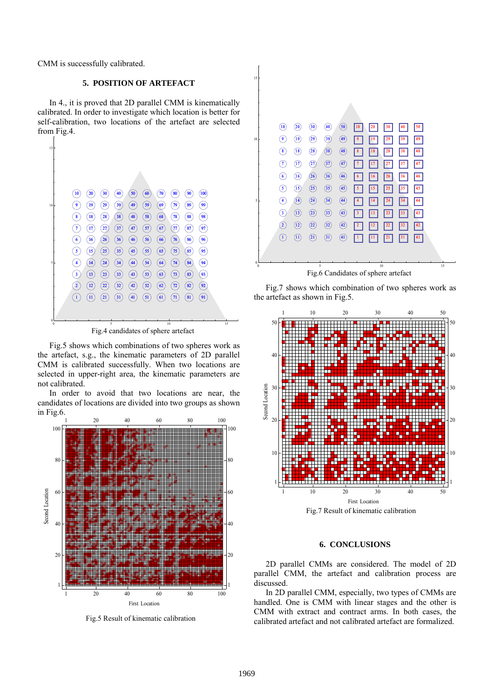CMM is successfully calibrated.

# **5. POSITION OF ARTEFACT**

In 4., it is proved that 2D parallel CMM is kinematically calibrated. In order to investigate which location is better for self-calibration, two locations of the artefact are selected from Fig.4.



Fig.4 candidates of sphere artefact

Fig.5 shows which combinations of two spheres work as the artefact, s.g., the kinematic parameters of 2D parallel CMM is calibrated successfully. When two locations are selected in upper-right area, the kinematic parameters are not calibrated.

In order to avoid that two locations are near, the candidates of locations are divided into two groups as shown in Fig.6.



Fig.5 Result of kinematic calibration

| (10)              | (20)                          | 30                             | (40)           | (50) | 10             |    |    |    | 50 |    |
|-------------------|-------------------------------|--------------------------------|----------------|------|----------------|----|----|----|----|----|
|                   | (19)                          | (29)                           | $\circled{39}$ | (49) | 9              |    |    | 39 | 49 |    |
| $\mathbf{8}$      | (18)                          | (28)                           | $\circled{38}$ | (48) | 8              | 18 |    | 38 | 48 |    |
| $\tau$            | (17)                          | $\left( 27\right)$             | (37)           | (47) | 7              |    |    | 37 | 47 |    |
| $6\phantom{.}6$   | (16)                          | (26)                           | $\circled{36}$ | (46) | 6              | 16 | 26 | 36 | 46 |    |
| $\left( 5\right)$ | (15)                          | (25)                           | $\circledS$    | (45) | 5              | 15 | 25 | 35 | 45 |    |
| $\overline{4}$    | (14)                          | (24)                           | (34)           | (44) |                |    |    | 34 |    |    |
| $\left(3\right)$  | (13)                          | (23)                           | $\bigcirc$     | (43) | 3              | 13 |    | 33 | 43 |    |
| $\left( 2\right)$ | $\left( \overline{12}\right)$ | (22)                           | $\circled{32}$ | (42) | $\overline{2}$ |    |    | 32 | 42 |    |
| $\left( 1\right)$ | (11)                          | $\textcircled{\scriptsize{1}}$ | $\circledcirc$ | (41) | -1             |    |    | 31 | 41 |    |
|                   |                               |                                |                |      |                |    |    |    |    |    |
|                   |                               | 5                              |                |      |                |    | 10 |    |    | 15 |

Fig.7 shows which combination of two spheres work as the artefact as shown in Fig.5.



#### **6. CONCLUSIONS**

2D parallel CMMs are considered. The model of 2D parallel CMM, the artefact and calibration process are discussed.

In 2D parallel CMM, especially, two types of CMMs are handled. One is CMM with linear stages and the other is CMM with extract and contract arms. In both cases, the calibrated artefact and not calibrated artefact are formalized.